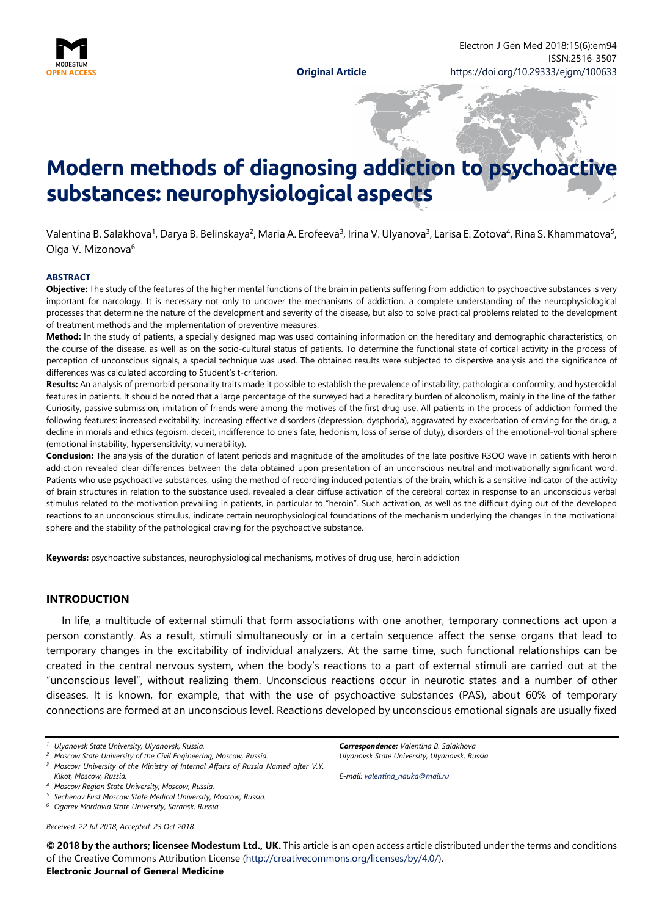

# **Modern methods of diagnosing addiction to psychoactive substances: neurophysiological aspects**

Valentina B. Salakhova<sup>1</sup>, Darya B. Belinskaya<sup>2</sup>, Maria A. Erofeeva<sup>3</sup>, Irina V. Ulyanova<sup>3</sup>, Larisa E. Zotova<sup>4</sup>, Rina S. Khammatova<sup>5</sup>, Olga V. Mizonova<sup>6</sup>

#### **ABSTRACT**

**Objective:** The study of the features of the higher mental functions of the brain in patients suffering from addiction to psychoactive substances is very important for narcology. It is necessary not only to uncover the mechanisms of addiction, a complete understanding of the neurophysiological processes that determine the nature of the development and severity of the disease, but also to solve practical problems related to the development of treatment methods and the implementation of preventive measures.

**Method:** In the study of patients, a specially designed map was used containing information on the hereditary and demographic characteristics, on the course of the disease, as well as on the socio-cultural status of patients. To determine the functional state of cortical activity in the process of perception of unconscious signals, a special technique was used. The obtained results were subjected to dispersive analysis and the significance of differences was calculated according to Student's t-criterion.

**Results:** An analysis of premorbid personality traits made it possible to establish the prevalence of instability, pathological conformity, and hysteroidal features in patients. It should be noted that a large percentage of the surveyed had a hereditary burden of alcoholism, mainly in the line of the father. Curiosity, passive submission, imitation of friends were among the motives of the first drug use. All patients in the process of addiction formed the following features: increased excitability, increasing effective disorders (depression, dysphoria), aggravated by exacerbation of craving for the drug, a decline in morals and ethics (egoism, deceit, indifference to one's fate, hedonism, loss of sense of duty), disorders of the emotional-volitional sphere (emotional instability, hypersensitivity, vulnerability).

**Conclusion:** The analysis of the duration of latent periods and magnitude of the amplitudes of the late positive R3OO wave in patients with heroin addiction revealed clear differences between the data obtained upon presentation of an unconscious neutral and motivationally significant word. Patients who use psychoactive substances, using the method of recording induced potentials of the brain, which is a sensitive indicator of the activity of brain structures in relation to the substance used, revealed a clear diffuse activation of the cerebral cortex in response to an unconscious verbal stimulus related to the motivation prevailing in patients, in particular to "heroin". Such activation, as well as the difficult dying out of the developed reactions to an unconscious stimulus, indicate certain neurophysiological foundations of the mechanism underlying the changes in the motivational sphere and the stability of the pathological craving for the psychoactive substance.

**Keywords:** psychoactive substances, neurophysiological mechanisms, motives of drug use, heroin addiction

### **INTRODUCTION**

In life, a multitude of external stimuli that form associations with one another, temporary connections act upon a person constantly. As a result, stimuli simultaneously or in a certain sequence affect the sense organs that lead to temporary changes in the excitability of individual analyzers. At the same time, such functional relationships can be created in the central nervous system, when the body's reactions to a part of external stimuli are carried out at the "unconscious level", without realizing them. Unconscious reactions occur in neurotic states and a number of other diseases. It is known, for example, that with the use of psychoactive substances (PAS), about 60% of temporary connections are formed at an unconscious level. Reactions developed by unconscious emotional signals are usually fixed

*Received: 22 Jul 2018, Accepted: 23 Oct 2018*

*Correspondence: Valentina B. Salakhova Ulyanovsk State University, Ulyanovsk, Russia.*

*E-mail: [valentina\\_nauka@mail.ru](mailto:valentina_nauka@mail.ru)*

**© 2018 by the authors; licensee Modestum Ltd., UK.** This article is an open access article distributed under the terms and conditions of the Creative Commons Attribution License [\(http://creativecommons.org/licenses/by/4.0/\)](http://creativecommons.org/licenses/by/4.0/).

# **Electronic Journal of General Medicine**

*<sup>1</sup> Ulyanovsk State University, Ulyanovsk, Russia.*

*<sup>2</sup> Moscow State University of the Civil Engineering, Moscow, Russia.*

*<sup>3</sup> Moscow University of the Ministry of Internal Affairs of Russia Named after V.Y. Kikot, Moscow, Russia.*

*<sup>4</sup> Moscow Region State University, Moscow, Russia.*

*<sup>5</sup> Sechenov First Moscow State Medical University, Moscow, Russia.*

*<sup>6</sup> Ogarev Mordovia State University, Saransk, Russia.*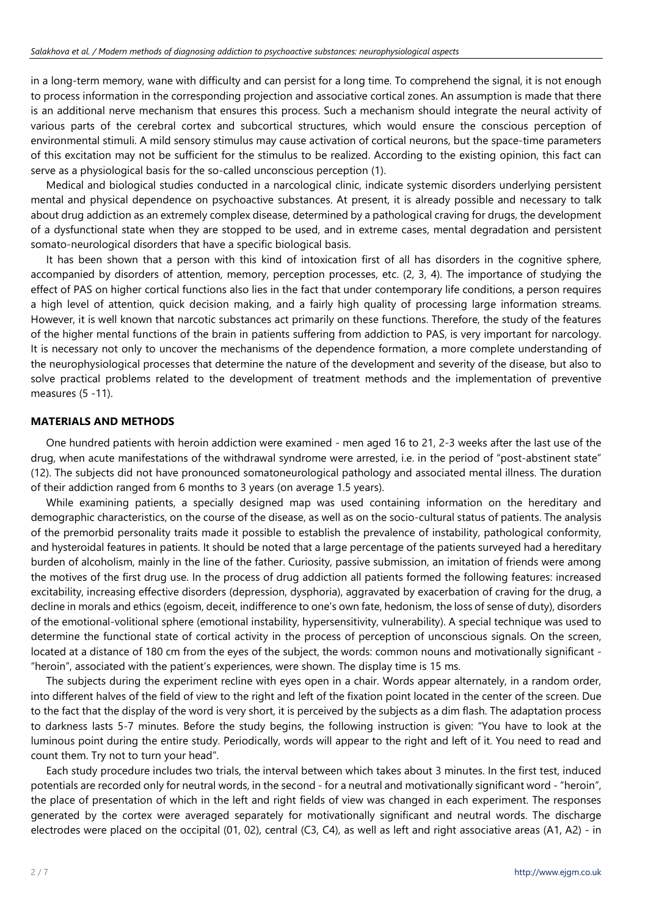in a long-term memory, wane with difficulty and can persist for a long time. To comprehend the signal, it is not enough to process information in the corresponding projection and associative cortical zones. An assumption is made that there is an additional nerve mechanism that ensures this process. Such a mechanism should integrate the neural activity of various parts of the cerebral cortex and subcortical structures, which would ensure the conscious perception of environmental stimuli. A mild sensory stimulus may cause activation of cortical neurons, but the space-time parameters of this excitation may not be sufficient for the stimulus to be realized. According to the existing opinion, this fact can serve as a physiological basis for the so-called unconscious perception (1).

Medical and biological studies conducted in a narcological clinic, indicate systemic disorders underlying persistent mental and physical dependence on psychoactive substances. At present, it is already possible and necessary to talk about drug addiction as an extremely complex disease, determined by a pathological craving for drugs, the development of a dysfunctional state when they are stopped to be used, and in extreme cases, mental degradation and persistent somato-neurological disorders that have a specific biological basis.

It has been shown that a person with this kind of intoxication first of all has disorders in the cognitive sphere, accompanied by disorders of attention, memory, perception processes, etc. (2, 3, 4). The importance of studying the effect of PAS on higher cortical functions also lies in the fact that under contemporary life conditions, a person requires a high level of attention, quick decision making, and a fairly high quality of processing large information streams. However, it is well known that narcotic substances act primarily on these functions. Therefore, the study of the features of the higher mental functions of the brain in patients suffering from addiction to PAS, is very important for narcology. It is necessary not only to uncover the mechanisms of the dependence formation, a more complete understanding of the neurophysiological processes that determine the nature of the development and severity of the disease, but also to solve practical problems related to the development of treatment methods and the implementation of preventive measures (5 -11).

# **MATERIALS AND METHODS**

One hundred patients with heroin addiction were examined - men aged 16 to 21, 2-3 weeks after the last use of the drug, when acute manifestations of the withdrawal syndrome were arrested, i.e. in the period of "post-abstinent state" (12). The subjects did not have pronounced somatoneurological pathology and associated mental illness. The duration of their addiction ranged from 6 months to 3 years (on average 1.5 years).

While examining patients, a specially designed map was used containing information on the hereditary and demographic characteristics, on the course of the disease, as well as on the socio-cultural status of patients. The analysis of the premorbid personality traits made it possible to establish the prevalence of instability, pathological conformity, and hysteroidal features in patients. It should be noted that a large percentage of the patients surveyed had a hereditary burden of alcoholism, mainly in the line of the father. Curiosity, passive submission, an imitation of friends were among the motives of the first drug use. In the process of drug addiction all patients formed the following features: increased excitability, increasing effective disorders (depression, dysphoria), aggravated by exacerbation of craving for the drug, a decline in morals and ethics (egoism, deceit, indifference to one's own fate, hedonism, the loss of sense of duty), disorders of the emotional-volitional sphere (emotional instability, hypersensitivity, vulnerability). A special technique was used to determine the functional state of cortical activity in the process of perception of unconscious signals. On the screen, located at a distance of 180 cm from the eyes of the subject, the words: common nouns and motivationally significant - "heroin", associated with the patient's experiences, were shown. The display time is 15 ms.

The subjects during the experiment recline with eyes open in a chair. Words appear alternately, in a random order, into different halves of the field of view to the right and left of the fixation point located in the center of the screen. Due to the fact that the display of the word is very short, it is perceived by the subjects as a dim flash. The adaptation process to darkness lasts 5-7 minutes. Before the study begins, the following instruction is given: "You have to look at the luminous point during the entire study. Periodically, words will appear to the right and left of it. You need to read and count them. Try not to turn your head".

Each study procedure includes two trials, the interval between which takes about 3 minutes. In the first test, induced potentials are recorded only for neutral words, in the second - for a neutral and motivationally significant word - "heroin", the place of presentation of which in the left and right fields of view was changed in each experiment. The responses generated by the cortex were averaged separately for motivationally significant and neutral words. The discharge electrodes were placed on the occipital (01, 02), central (C3, C4), as well as left and right associative areas (A1, A2) - in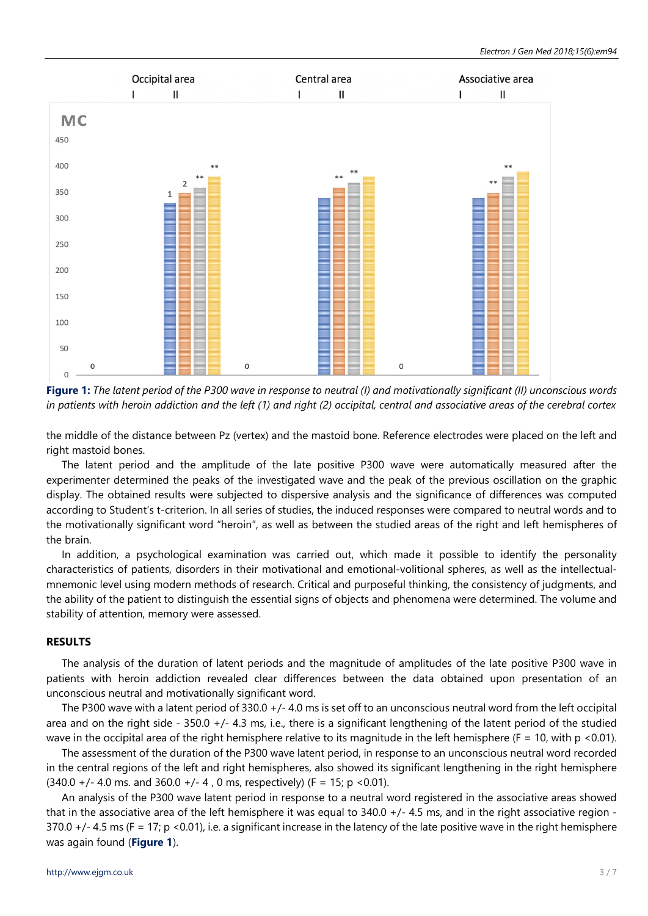

**Figure 1:** *The latent period of the P300 wave in response to neutral (I) and motivationally significant (II) unconscious words in patients with heroin addiction and the left (1) and right (2) occipital, central and associative areas of the cerebral cortex*

the middle of the distance between Pz (vertex) and the mastoid bone. Reference electrodes were placed on the left and right mastoid bones.

The latent period and the amplitude of the late positive P300 wave were automatically measured after the experimenter determined the peaks of the investigated wave and the peak of the previous oscillation on the graphic display. The obtained results were subjected to dispersive analysis and the significance of differences was computed according to Student's t-criterion. In all series of studies, the induced responses were compared to neutral words and to the motivationally significant word "heroin", as well as between the studied areas of the right and left hemispheres of the brain.

In addition, a psychological examination was carried out, which made it possible to identify the personality characteristics of patients, disorders in their motivational and emotional-volitional spheres, as well as the intellectualmnemonic level using modern methods of research. Critical and purposeful thinking, the consistency of judgments, and the ability of the patient to distinguish the essential signs of objects and phenomena were determined. The volume and stability of attention, memory were assessed.

## **RESULTS**

The analysis of the duration of latent periods and the magnitude of amplitudes of the late positive P300 wave in patients with heroin addiction revealed clear differences between the data obtained upon presentation of an unconscious neutral and motivationally significant word.

The P300 wave with a latent period of 330.0 +/- 4.0 ms is set off to an unconscious neutral word from the left occipital area and on the right side  $-350.0 + (-4.3 \text{ ms})$ , i.e., there is a significant lengthening of the latent period of the studied wave in the occipital area of the right hemisphere relative to its magnitude in the left hemisphere ( $F = 10$ , with p <0.01).

The assessment of the duration of the P300 wave latent period, in response to an unconscious neutral word recorded in the central regions of the left and right hemispheres, also showed its significant lengthening in the right hemisphere  $(340.0 +/- 4.0 \text{ ms.}$  and  $360.0 +/- 4$ , 0 ms, respectively) (F = 15; p < 0.01).

An analysis of the P300 wave latent period in response to a neutral word registered in the associative areas showed that in the associative area of the left hemisphere it was equal to 340.0 +/- 4.5 ms, and in the right associative region - 370.0 +/- 4.5 ms (F = 17; p <0.01), i.e. a significant increase in the latency of the late positive wave in the right hemisphere was again found (**Figure 1**).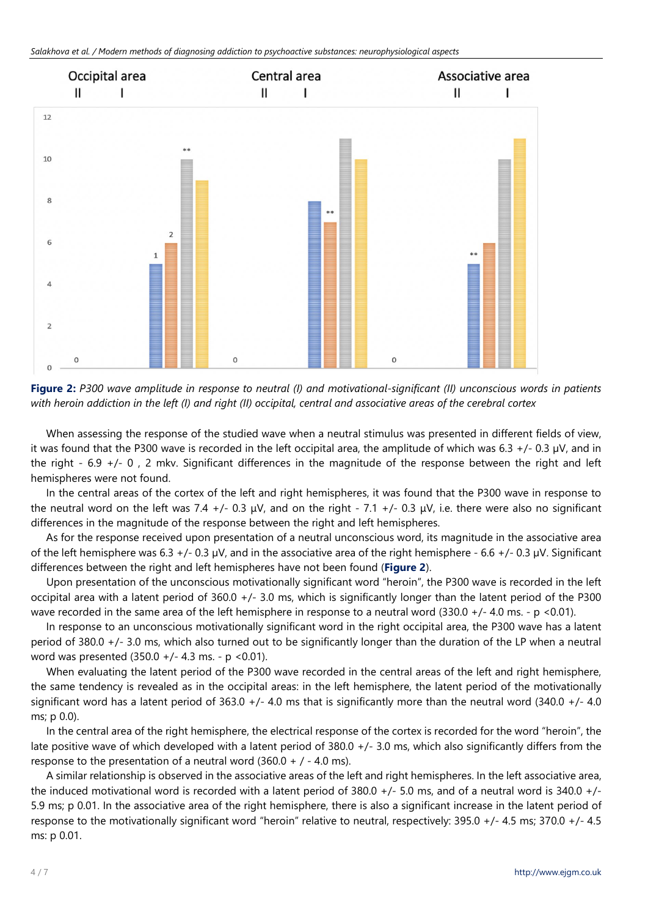

**Figure 2:** *P300 wave amplitude in response to neutral (I) and motivational-significant (II) unconscious words in patients with heroin addiction in the left (I) and right (II) occipital, central and associative areas of the cerebral cortex*

When assessing the response of the studied wave when a neutral stimulus was presented in different fields of view, it was found that the P300 wave is recorded in the left occipital area, the amplitude of which was 6.3 +/- 0.3 µV, and in the right - 6.9 +/- 0 , 2 mkv. Significant differences in the magnitude of the response between the right and left hemispheres were not found.

In the central areas of the cortex of the left and right hemispheres, it was found that the P300 wave in response to the neutral word on the left was 7.4 +/- 0.3  $\mu$ V, and on the right - 7.1 +/- 0.3  $\mu$ V, i.e. there were also no significant differences in the magnitude of the response between the right and left hemispheres.

As for the response received upon presentation of a neutral unconscious word, its magnitude in the associative area of the left hemisphere was 6.3 +/- 0.3  $\mu$ V, and in the associative area of the right hemisphere - 6.6 +/- 0.3  $\mu$ V. Significant differences between the right and left hemispheres have not been found (**Figure 2**).

Upon presentation of the unconscious motivationally significant word "heroin", the P300 wave is recorded in the left occipital area with a latent period of 360.0 +/- 3.0 ms, which is significantly longer than the latent period of the P300 wave recorded in the same area of the left hemisphere in response to a neutral word (330.0 +/- 4.0 ms. - p <0.01).

In response to an unconscious motivationally significant word in the right occipital area, the P300 wave has a latent period of 380.0 +/- 3.0 ms, which also turned out to be significantly longer than the duration of the LP when a neutral word was presented (350.0 +/- 4.3 ms. - p <0.01).

When evaluating the latent period of the P300 wave recorded in the central areas of the left and right hemisphere, the same tendency is revealed as in the occipital areas: in the left hemisphere, the latent period of the motivationally significant word has a latent period of  $363.0 +/- 4.0$  ms that is significantly more than the neutral word  $(340.0 +/- 4.0$ ms; p 0.0).

In the central area of the right hemisphere, the electrical response of the cortex is recorded for the word "heroin", the late positive wave of which developed with a latent period of 380.0 +/- 3.0 ms, which also significantly differs from the response to the presentation of a neutral word  $(360.0 + / - 4.0 \text{ ms})$ .

A similar relationship is observed in the associative areas of the left and right hemispheres. In the left associative area, the induced motivational word is recorded with a latent period of 380.0 +/- 5.0 ms, and of a neutral word is 340.0 +/- 5.9 ms; p 0.01. In the associative area of the right hemisphere, there is also a significant increase in the latent period of response to the motivationally significant word "heroin" relative to neutral, respectively: 395.0 +/- 4.5 ms; 370.0 +/- 4.5 ms: p 0.01.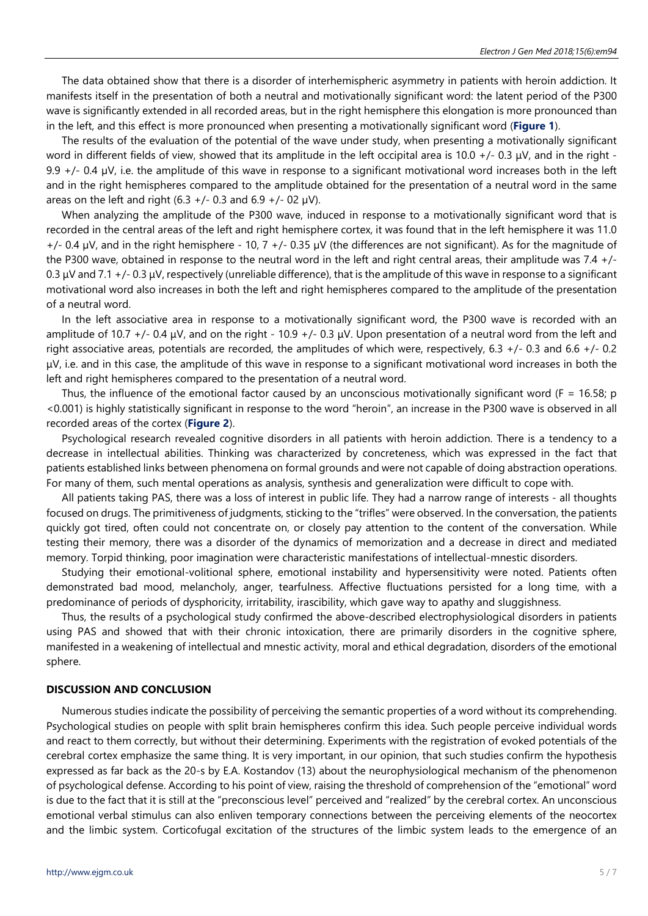The data obtained show that there is a disorder of interhemispheric asymmetry in patients with heroin addiction. It manifests itself in the presentation of both a neutral and motivationally significant word: the latent period of the P300 wave is significantly extended in all recorded areas, but in the right hemisphere this elongation is more pronounced than in the left, and this effect is more pronounced when presenting a motivationally significant word (**Figure 1**).

The results of the evaluation of the potential of the wave under study, when presenting a motivationally significant word in different fields of view, showed that its amplitude in the left occipital area is 10.0 +/- 0.3  $\mu$ V, and in the right -9.9  $+/-$  0.4  $\mu$ V, i.e. the amplitude of this wave in response to a significant motivational word increases both in the left and in the right hemispheres compared to the amplitude obtained for the presentation of a neutral word in the same areas on the left and right (6.3 +/- 0.3 and 6.9 +/- 02  $\mu$ V).

When analyzing the amplitude of the P300 wave, induced in response to a motivationally significant word that is recorded in the central areas of the left and right hemisphere cortex, it was found that in the left hemisphere it was 11.0  $+/-$  0.4 µV, and in the right hemisphere - 10, 7  $+/-$  0.35 µV (the differences are not significant). As for the magnitude of the P300 wave, obtained in response to the neutral word in the left and right central areas, their amplitude was 7.4 +/- 0.3  $\mu$ V and 7.1 +/-0.3  $\mu$ V, respectively (unreliable difference), that is the amplitude of this wave in response to a significant motivational word also increases in both the left and right hemispheres compared to the amplitude of the presentation of a neutral word.

In the left associative area in response to a motivationally significant word, the P300 wave is recorded with an amplitude of 10.7 +/- 0.4  $\mu$ V, and on the right - 10.9 +/- 0.3  $\mu$ V. Upon presentation of a neutral word from the left and right associative areas, potentials are recorded, the amplitudes of which were, respectively, 6.3 +/- 0.3 and 6.6 +/- 0.2  $\mu$ V, i.e. and in this case, the amplitude of this wave in response to a significant motivational word increases in both the left and right hemispheres compared to the presentation of a neutral word.

Thus, the influence of the emotional factor caused by an unconscious motivationally significant word ( $F = 16.58$ ; p <0.001) is highly statistically significant in response to the word "heroin", an increase in the P300 wave is observed in all recorded areas of the cortex (**Figure 2**).

Psychological research revealed cognitive disorders in all patients with heroin addiction. There is a tendency to a decrease in intellectual abilities. Thinking was characterized by concreteness, which was expressed in the fact that patients established links between phenomena on formal grounds and were not capable of doing abstraction operations. For many of them, such mental operations as analysis, synthesis and generalization were difficult to cope with.

All patients taking PAS, there was a loss of interest in public life. They had a narrow range of interests - all thoughts focused on drugs. The primitiveness of judgments, sticking to the "trifles" were observed. In the conversation, the patients quickly got tired, often could not concentrate on, or closely pay attention to the content of the conversation. While testing their memory, there was a disorder of the dynamics of memorization and a decrease in direct and mediated memory. Torpid thinking, poor imagination were characteristic manifestations of intellectual-mnestic disorders.

Studying their emotional-volitional sphere, emotional instability and hypersensitivity were noted. Patients often demonstrated bad mood, melancholy, anger, tearfulness. Affective fluctuations persisted for a long time, with a predominance of periods of dysphoricity, irritability, irascibility, which gave way to apathy and sluggishness.

Thus, the results of a psychological study confirmed the above-described electrophysiological disorders in patients using PAS and showed that with their chronic intoxication, there are primarily disorders in the cognitive sphere, manifested in a weakening of intellectual and mnestic activity, moral and ethical degradation, disorders of the emotional sphere.

## **DISCUSSION AND CONCLUSION**

Numerous studies indicate the possibility of perceiving the semantic properties of a word without its comprehending. Psychological studies on people with split brain hemispheres confirm this idea. Such people perceive individual words and react to them correctly, but without their determining. Experiments with the registration of evoked potentials of the cerebral cortex emphasize the same thing. It is very important, in our opinion, that such studies confirm the hypothesis expressed as far back as the 20-s by E.A. Kostandov (13) about the neurophysiological mechanism of the phenomenon of psychological defense. According to his point of view, raising the threshold of comprehension of the "emotional" word is due to the fact that it is still at the "preconscious level" perceived and "realized" by the cerebral cortex. An unconscious emotional verbal stimulus can also enliven temporary connections between the perceiving elements of the neocortex and the limbic system. Corticofugal excitation of the structures of the limbic system leads to the emergence of an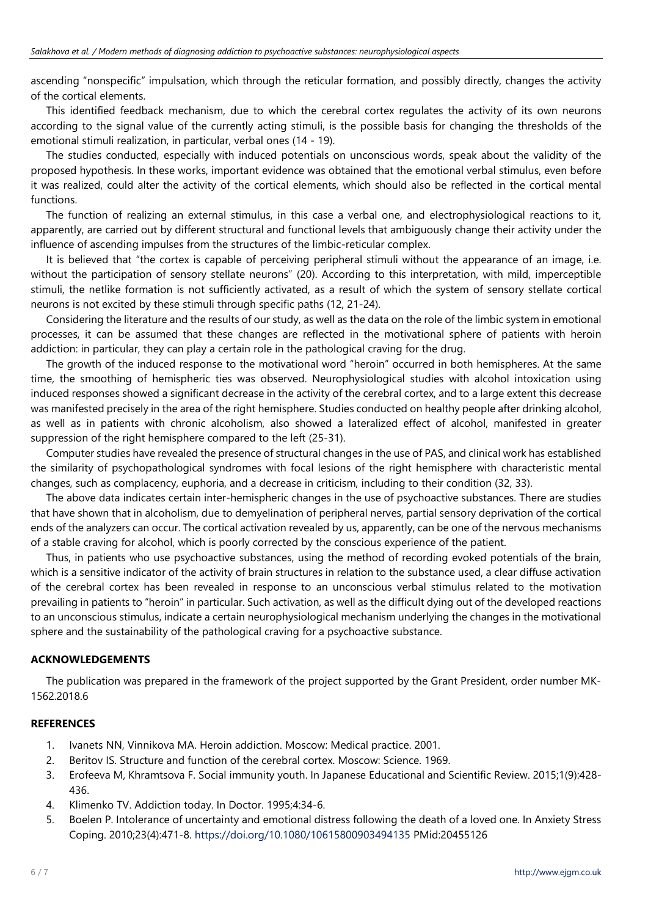ascending "nonspecific" impulsation, which through the reticular formation, and possibly directly, changes the activity of the cortical elements.

This identified feedback mechanism, due to which the cerebral cortex regulates the activity of its own neurons according to the signal value of the currently acting stimuli, is the possible basis for changing the thresholds of the emotional stimuli realization, in particular, verbal ones (14 - 19).

The studies conducted, especially with induced potentials on unconscious words, speak about the validity of the proposed hypothesis. In these works, important evidence was obtained that the emotional verbal stimulus, even before it was realized, could alter the activity of the cortical elements, which should also be reflected in the cortical mental functions.

The function of realizing an external stimulus, in this case a verbal one, and electrophysiological reactions to it, apparently, are carried out by different structural and functional levels that ambiguously change their activity under the influence of ascending impulses from the structures of the limbic-reticular complex.

It is believed that "the cortex is capable of perceiving peripheral stimuli without the appearance of an image, i.e. without the participation of sensory stellate neurons" (20). According to this interpretation, with mild, imperceptible stimuli, the netlike formation is not sufficiently activated, as a result of which the system of sensory stellate cortical neurons is not excited by these stimuli through specific paths (12, 21-24).

Considering the literature and the results of our study, as well as the data on the role of the limbic system in emotional processes, it can be assumed that these changes are reflected in the motivational sphere of patients with heroin addiction: in particular, they can play a certain role in the pathological craving for the drug.

The growth of the induced response to the motivational word "heroin" occurred in both hemispheres. At the same time, the smoothing of hemispheric ties was observed. Neurophysiological studies with alcohol intoxication using induced responses showed a significant decrease in the activity of the cerebral cortex, and to a large extent this decrease was manifested precisely in the area of the right hemisphere. Studies conducted on healthy people after drinking alcohol, as well as in patients with chronic alcoholism, also showed a lateralized effect of alcohol, manifested in greater suppression of the right hemisphere compared to the left (25-31).

Computer studies have revealed the presence of structural changes in the use of PAS, and clinical work has established the similarity of psychopathological syndromes with focal lesions of the right hemisphere with characteristic mental changes, such as complacency, euphoria, and a decrease in criticism, including to their condition (32, 33).

The above data indicates certain inter-hemispheric changes in the use of psychoactive substances. There are studies that have shown that in alcoholism, due to demyelination of peripheral nerves, partial sensory deprivation of the cortical ends of the analyzers can occur. The cortical activation revealed by us, apparently, can be one of the nervous mechanisms of a stable craving for alcohol, which is poorly corrected by the conscious experience of the patient.

Thus, in patients who use psychoactive substances, using the method of recording evoked potentials of the brain, which is a sensitive indicator of the activity of brain structures in relation to the substance used, a clear diffuse activation of the cerebral cortex has been revealed in response to an unconscious verbal stimulus related to the motivation prevailing in patients to "heroin" in particular. Such activation, as well as the difficult dying out of the developed reactions to an unconscious stimulus, indicate a certain neurophysiological mechanism underlying the changes in the motivational sphere and the sustainability of the pathological craving for a psychoactive substance.

# **ACKNOWLEDGEMENTS**

The publication was prepared in the framework of the project supported by the Grant President, order number МК-1562.2018.6

## **REFERENCES**

- 1. Ivanets NN, Vinnikova MA. Heroin addiction. Moscow: Medical practice. 2001.
- 2. Beritov IS. Structure and function of the cerebral cortex. Moscow: Science. 1969.
- 3. Erofeeva M, Khramtsova F. Social immunity youth. In Japanese Educational and Scientific Review. 2015;1(9):428- 436.
- 4. Klimenko TV. Addiction today. In Doctor. 1995;4:34-6.
- 5. Boelen P. Intolerance of uncertainty and emotional distress following the death of a loved one. In Anxiety Stress Coping. 2010;23(4):471-8. <https://doi.org/10.1080/10615800903494135> PMid:20455126